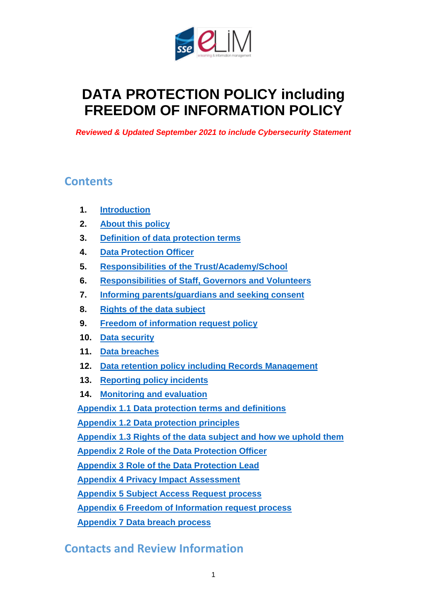

# **DATA PROTECTION POLICY including FREEDOM OF INFORMATION POLICY**

*Reviewed & Updated September 2021 to include Cybersecurity Statement* 

### **Contents**

- **1. [Introduction](#page-1-0)**
- **2. [About this policy](#page-2-0)**
- **3. [Definition of data protection terms](#page-2-1)**
- **4. [Data Protection Officer](#page-2-2)**
- **5. Responsibilities [of the Trust/Academy/School](#page-3-0)**
- **6. [Responsibilities of Staff, Governors](#page-3-0) and Volunteers**
- **7. [Informing parents/guardians and seeking consent](#page-4-0)**
- **8. [Rights of the data subject](#page-5-0)**
- **9. [Freedom of information request](#page-6-0) policy**
- **10. [Data security](#page-7-0)**
- **11. [Data breaches](#page-9-0)**
- **12. Data retention policy [including Records Management](#page-10-0)**
- **13. [Reporting policy incidents](#page-11-0)**
- **14. [Monitoring and evaluation](#page-11-1)**

**Appendix 1.1 [Data protection terms and definitions](#page-12-0)**

**Appendix 1.2 [Data protection principles](#page-14-0)**

**[Appendix 1.3 Rights of the data subject](#page-15-0) and how we uphold them**

**[Appendix 2 Role of the Data Protection Officer](#page-17-0)**

**[Appendix 3 Role of the Data Protection Lead](#page-19-0)**

**Appendix [4 Privacy Impact Assessment](#page-21-0)**

**[Appendix 5 Subject Access Request process](#page-23-0)**

**[Appendix 6 Freedom of Information request process](#page-25-0)**

**Appendix 7 [Data breach](#page-27-0) process**

## **Contacts and Review Information**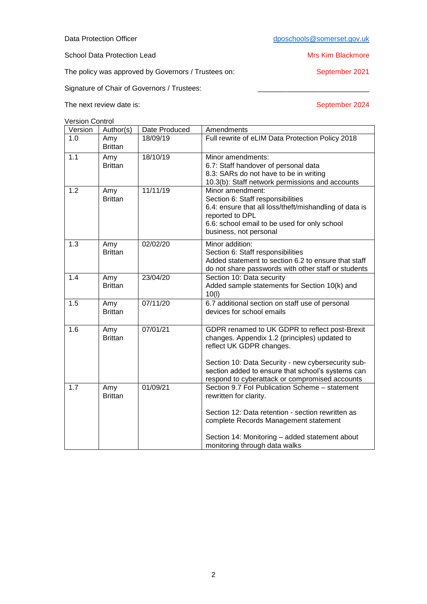School Data Protection Lead Mrs Kim Blackmore

The policy was approved by Governors / Trustees on: September 2021

Signature of Chair of Governors / Trustees:

The next review date is: September 2024

Version Control

<span id="page-1-0"></span>

| CISIUII CUITIUI |                       |               |                                                                           |
|-----------------|-----------------------|---------------|---------------------------------------------------------------------------|
| Version         | Author(s)             | Date Produced | Amendments                                                                |
| 1.0             | Amy<br><b>Brittan</b> | 18/09/19      | Full rewrite of eLIM Data Protection Policy 2018                          |
| 1.1             | Amy                   | 18/10/19      | Minor amendments:                                                         |
|                 | <b>Brittan</b>        |               | 6.7: Staff handover of personal data                                      |
|                 |                       |               | 8.3: SARs do not have to be in writing                                    |
|                 |                       |               | 10.3(b): Staff network permissions and accounts                           |
| 1.2             | Amy                   | 11/11/19      | Minor amendment:                                                          |
|                 | <b>Brittan</b>        |               | Section 6: Staff responsibilities                                         |
|                 |                       |               | 6.4: ensure that all loss/theft/mishandling of data is<br>reported to DPL |
|                 |                       |               | 6.6: school email to be used for only school                              |
|                 |                       |               | business, not personal                                                    |
| 1.3             | Amy                   | 02/02/20      | Minor addition:                                                           |
|                 | <b>Brittan</b>        |               | Section 6: Staff responsibilities                                         |
|                 |                       |               | Added statement to section 6.2 to ensure that staff                       |
|                 |                       |               | do not share passwords with other staff or students                       |
| 1.4             | Amy                   | 23/04/20      | Section 10: Data security                                                 |
|                 | <b>Brittan</b>        |               | Added sample statements for Section 10(k) and                             |
|                 |                       |               | 10(1)                                                                     |
| 1.5             | Amy                   | 07/11/20      | 6.7 additional section on staff use of personal                           |
|                 | <b>Brittan</b>        |               | devices for school emails                                                 |
|                 |                       |               |                                                                           |
| 1.6             | Amy                   | 07/01/21      | GDPR renamed to UK GDPR to reflect post-Brexit                            |
|                 | <b>Brittan</b>        |               | changes. Appendix 1.2 (principles) updated to                             |
|                 |                       |               | reflect UK GDPR changes.                                                  |
|                 |                       |               | Section 10: Data Security - new cybersecurity sub-                        |
|                 |                       |               | section added to ensure that school's systems can                         |
|                 |                       |               | respond to cyberattack or compromised accounts                            |
| 1.7             | Amy                   | 01/09/21      | Section 9.7 Fol Publication Scheme - statement                            |
|                 | <b>Brittan</b>        |               | rewritten for clarity.                                                    |
|                 |                       |               | Section 12: Data retention - section rewritten as                         |
|                 |                       |               | complete Records Management statement                                     |
|                 |                       |               | Section 14: Monitoring - added statement about                            |
|                 |                       |               | monitoring through data walks                                             |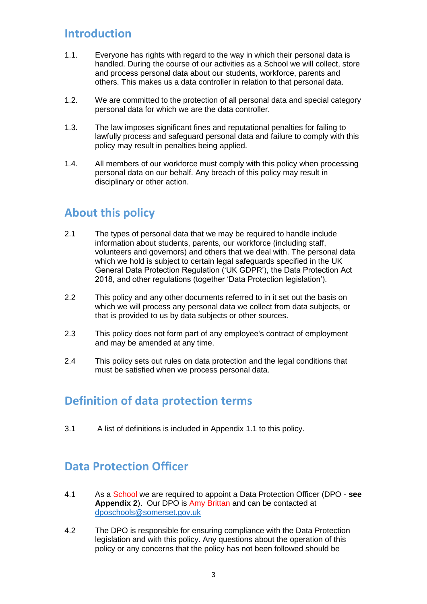## **Introduction**

- 1.1. Everyone has rights with regard to the way in which their personal data is handled. During the course of our activities as a School we will collect, store and process personal data about our students, workforce, parents and others. This makes us a data controller in relation to that personal data.
- 1.2. We are committed to the protection of all personal data and special category personal data for which we are the data controller.
- 1.3. The law imposes significant fines and reputational penalties for failing to lawfully process and safeguard personal data and failure to comply with this policy may result in penalties being applied.
- 1.4. All members of our workforce must comply with this policy when processing personal data on our behalf. Any breach of this policy may result in disciplinary or other action.

## <span id="page-2-0"></span>**About this policy**

- 2.1 The types of personal data that we may be required to handle include information about students, parents, our workforce (including staff, volunteers and governors) and others that we deal with. The personal data which we hold is subject to certain legal safeguards specified in the UK General Data Protection Regulation ('UK GDPR'), the Data Protection Act 2018, and other regulations (together 'Data Protection legislation').
- 2.2 This policy and any other documents referred to in it set out the basis on which we will process any personal data we collect from data subjects, or that is provided to us by data subjects or other sources.
- 2.3 This policy does not form part of any employee's contract of employment and may be amended at any time.
- 2.4 This policy sets out rules on data protection and the legal conditions that must be satisfied when we process personal data.

## <span id="page-2-1"></span>**Definition of data protection terms**

3.1 A list of definitions is included in Appendix 1.1 to this policy.

## <span id="page-2-2"></span>**Data Protection Officer**

- 4.1 As a School we are required to appoint a Data Protection Officer (DPO **see Appendix 2**). Our DPO is Amy Brittan and can be contacted at [dposchools@somerset.gov.uk](mailto:dposchools@somerset.gov.uk)
- 4.2 The DPO is responsible for ensuring compliance with the Data Protection legislation and with this policy. Any questions about the operation of this policy or any concerns that the policy has not been followed should be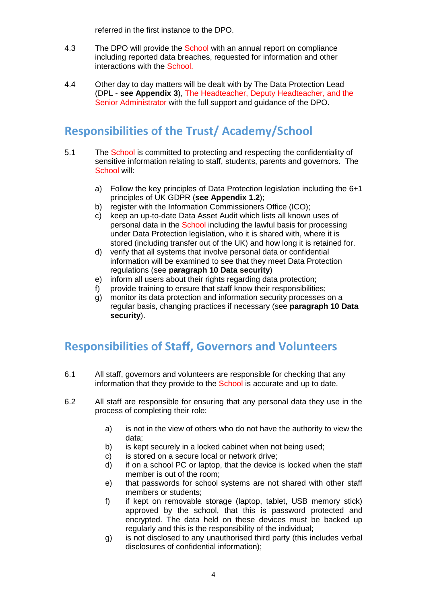referred in the first instance to the DPO.

- 4.3 The DPO will provide the School with an annual report on compliance including reported data breaches, requested for information and other interactions with the School.
- 4.4 Other day to day matters will be dealt with by The Data Protection Lead (DPL - **see Appendix 3**), The Headteacher, Deputy Headteacher, and the Senior Administrator with the full support and guidance of the DPO.

# **Responsibilities of the Trust/ Academy/School**

- 5.1 The School is committed to protecting and respecting the confidentiality of sensitive information relating to staff, students, parents and governors. The School will:
	- a) Follow the key principles of Data Protection legislation including the 6+1 principles of UK GDPR (**see Appendix 1.2**);
	- b) register with the Information Commissioners Office (ICO);
	- c) keep an up-to-date Data Asset Audit which lists all known uses of personal data in the School including the lawful basis for processing under Data Protection legislation, who it is shared with, where it is stored (including transfer out of the UK) and how long it is retained for.
	- d) verify that all systems that involve personal data or confidential information will be examined to see that they meet Data Protection regulations (see **paragraph 10 Data security**)
	- e) inform all users about their rights regarding data protection;
	- f) provide training to ensure that staff know their responsibilities;
	- g) monitor its data protection and information security processes on a regular basis, changing practices if necessary (see **paragraph 10 Data security**).

## <span id="page-3-0"></span>**Responsibilities of Staff, Governors and Volunteers**

- 6.1 All staff, governors and volunteers are responsible for checking that any information that they provide to the School is accurate and up to date.
- 6.2 All staff are responsible for ensuring that any personal data they use in the process of completing their role:
	- a) is not in the view of others who do not have the authority to view the data;
	- b) is kept securely in a locked cabinet when not being used;
	- c) is stored on a secure local or network drive;
	- d) if on a school PC or laptop, that the device is locked when the staff member is out of the room;
	- e) that passwords for school systems are not shared with other staff members or students;
	- f) if kept on removable storage (laptop, tablet, USB memory stick) approved by the school, that this is password protected and encrypted. The data held on these devices must be backed up regularly and this is the responsibility of the individual;
	- g) is not disclosed to any unauthorised third party (this includes verbal disclosures of confidential information);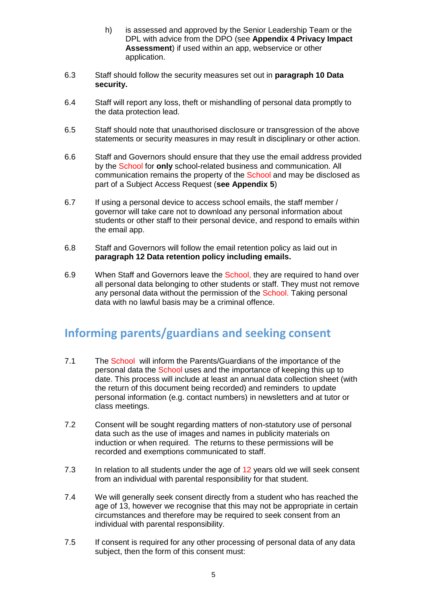- h) is assessed and approved by the Senior Leadership Team or the DPL with advice from the DPO (see **Appendix 4 Privacy Impact Assessment**) if used within an app, webservice or other application.
- 6.3 Staff should follow the security measures set out in **paragraph 10 Data security.**
- 6.4 Staff will report any loss, theft or mishandling of personal data promptly to the data protection lead.
- 6.5 Staff should note that unauthorised disclosure or transgression of the above statements or security measures in may result in disciplinary or other action.
- 6.6 Staff and Governors should ensure that they use the email address provided by the School for **only** school-related business and communication. All communication remains the property of the School and may be disclosed as part of a Subject Access Request (**see Appendix 5**)
- 6.7 If using a personal device to access school emails, the staff member / governor will take care not to download any personal information about students or other staff to their personal device, and respond to emails within the email app.
- 6.8 Staff and Governors will follow the email retention policy as laid out in **paragraph 12 Data retention policy including emails.**
- 6.9 When Staff and Governors leave the School, they are required to hand over all personal data belonging to other students or staff. They must not remove any personal data without the permission of the School. Taking personal data with no lawful basis may be a criminal offence.

## <span id="page-4-0"></span>**Informing parents/guardians and seeking consent**

- 7.1 The School will inform the Parents/Guardians of the importance of the personal data the School uses and the importance of keeping this up to date. This process will include at least an annual data collection sheet (with the return of this document being recorded) and reminders to update personal information (e.g. contact numbers) in newsletters and at tutor or class meetings.
- 7.2 Consent will be sought regarding matters of non-statutory use of personal data such as the use of images and names in publicity materials on induction or when required. The returns to these permissions will be recorded and exemptions communicated to staff.
- 7.3 In relation to all students under the age of 12 years old we will seek consent from an individual with parental responsibility for that student.
- 7.4 We will generally seek consent directly from a student who has reached the age of 13, however we recognise that this may not be appropriate in certain circumstances and therefore may be required to seek consent from an individual with parental responsibility.
- 7.5 If consent is required for any other processing of personal data of any data subject, then the form of this consent must: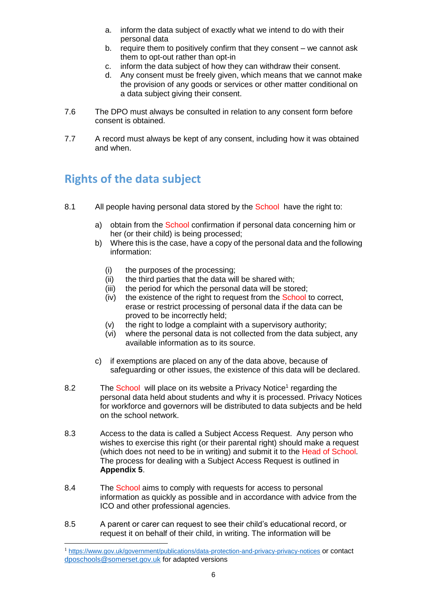- a. inform the data subject of exactly what we intend to do with their personal data
- b. require them to positively confirm that they consent we cannot ask them to opt-out rather than opt-in
- c. inform the data subject of how they can withdraw their consent.
- d. Any consent must be freely given, which means that we cannot make the provision of any goods or services or other matter conditional on a data subject giving their consent.
- 7.6 The DPO must always be consulted in relation to any consent form before consent is obtained.
- 7.7 A record must always be kept of any consent, including how it was obtained and when.

## <span id="page-5-0"></span>**Rights of the data subject**

-

- 8.1 All people having personal data stored by the School have the right to:
	- a) obtain from the School confirmation if personal data concerning him or her (or their child) is being processed;
	- b) Where this is the case, have a copy of the personal data and the following information:
		- (i) the purposes of the processing;<br>(ii) the third parties that the data wil
		- the third parties that the data will be shared with;
		- (iii) the period for which the personal data will be stored;
		- (iv) the existence of the right to request from the **School** to correct, erase or restrict processing of personal data if the data can be proved to be incorrectly held;
		- (v) the right to lodge a complaint with a supervisory authority;
		- (vi) where the personal data is not collected from the data subject, any available information as to its source.
	- c) if exemptions are placed on any of the data above, because of safeguarding or other issues, the existence of this data will be declared.
- 8.2 The School will place on its website a Privacy Notice<sup>1</sup> regarding the personal data held about students and why it is processed. Privacy Notices for workforce and governors will be distributed to data subjects and be held on the school network.
- 8.3 Access to the data is called a Subject Access Request. Any person who wishes to exercise this right (or their parental right) should make a request (which does not need to be in writing) and submit it to the Head of School. The process for dealing with a Subject Access Request is outlined in **Appendix 5**.
- 8.4 The School aims to comply with requests for access to personal information as quickly as possible and in accordance with advice from the ICO and other professional agencies.
- 8.5 A parent or carer can request to see their child's educational record, or request it on behalf of their child, in writing. The information will be

<sup>1</sup> <https://www.gov.uk/government/publications/data-protection-and-privacy-privacy-notices> or contact [dposchools@somerset.gov.uk](mailto:dposchools@somerset.gov.uk) for adapted versions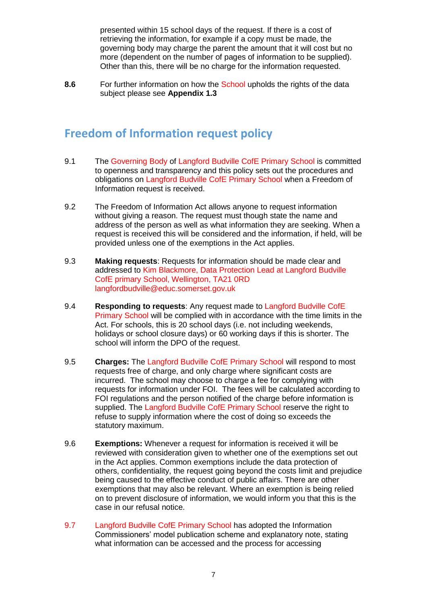presented within 15 school days of the request. If there is a cost of retrieving the information, for example if a copy must be made, the governing body may charge the parent the amount that it will cost but no more (dependent on the number of pages of information to be supplied). Other than this, there will be no charge for the information requested.

**8.6** For further information on how the School upholds the rights of the data subject please see **Appendix 1.3**

## <span id="page-6-0"></span>**Freedom of Information request policy**

- 9.1 The Governing Body of Langford Budville CofE Primary School is committed to openness and transparency and this policy sets out the procedures and obligations on Langford Budville CofE Primary School when a Freedom of Information request is received.
- 9.2 The Freedom of Information Act allows anyone to request information without giving a reason. The request must though state the name and address of the person as well as what information they are seeking. When a request is received this will be considered and the information, if held, will be provided unless one of the exemptions in the Act applies.
- 9.3 **Making requests**: Requests for information should be made clear and addressed to Kim Blackmore, Data Protection Lead at Langford Budville CofE primary School, Wellington, TA21 0RD langfordbudville@educ.somerset.gov.uk
- 9.4 **Responding to requests**: Any request made to Langford Budville CofE Primary School will be complied with in accordance with the time limits in the Act. For schools, this is 20 school days (i.e. not including weekends, holidays or school closure days) or 60 working days if this is shorter. The school will inform the DPO of the request.
- 9.5 **Charges:** The Langford Budville CofE Primary School will respond to most requests free of charge, and only charge where significant costs are incurred. The school may choose to charge a fee for complying with requests for information under FOI. The fees will be calculated according to FOI regulations and the person notified of the charge before information is supplied. The Langford Budville CofE Primary School reserve the right to refuse to supply information where the cost of doing so exceeds the statutory maximum.
- 9.6 **Exemptions:** Whenever a request for information is received it will be reviewed with consideration given to whether one of the exemptions set out in the Act applies. Common exemptions include the data protection of others, confidentiality, the request going beyond the costs limit and prejudice being caused to the effective conduct of public affairs. There are other exemptions that may also be relevant. Where an exemption is being relied on to prevent disclosure of information, we would inform you that this is the case in our refusal notice.
- 9.7 Langford Budville CofE Primary School has adopted the Information Commissioners' model publication scheme and explanatory note, stating what information can be accessed and the process for accessing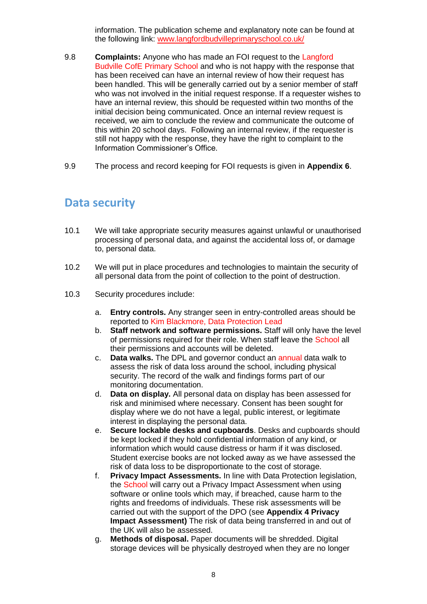information. The publication scheme and explanatory note can be found at the following link: [www.langfordbudvilleprimaryschool.co.uk/](http://www.langfordbudvilleprimaryschool.co.uk/)

- 9.8 **Complaints:** Anyone who has made an FOI request to the Langford Budville CofE Primary School and who is not happy with the response that has been received can have an internal review of how their request has been handled. This will be generally carried out by a senior member of staff who was not involved in the initial request response. If a requester wishes to have an internal review, this should be requested within two months of the initial decision being communicated. Once an internal review request is received, we aim to conclude the review and communicate the outcome of this within 20 school days. Following an internal review, if the requester is still not happy with the response, they have the right to complaint to the Information Commissioner's Office.
- 9.9 The process and record keeping for FOI requests is given in **Appendix 6**.

### <span id="page-7-0"></span>**Data security**

- 10.1 We will take appropriate security measures against unlawful or unauthorised processing of personal data, and against the accidental loss of, or damage to, personal data.
- 10.2 We will put in place procedures and technologies to maintain the security of all personal data from the point of collection to the point of destruction.
- 10.3 Security procedures include:
	- a. **Entry controls.** Any stranger seen in entry-controlled areas should be reported to Kim Blackmore, Data Protection Lead
	- b. **Staff network and software permissions.** Staff will only have the level of permissions required for their role. When staff leave the School all their permissions and accounts will be deleted.
	- c. **Data walks.** The DPL and governor conduct an annual data walk to assess the risk of data loss around the school, including physical security. The record of the walk and findings forms part of our monitoring documentation.
	- d. **Data on display.** All personal data on display has been assessed for risk and minimised where necessary. Consent has been sought for display where we do not have a legal, public interest, or legitimate interest in displaying the personal data.
	- e. **Secure lockable desks and cupboards**. Desks and cupboards should be kept locked if they hold confidential information of any kind, or information which would cause distress or harm if it was disclosed. Student exercise books are not locked away as we have assessed the risk of data loss to be disproportionate to the cost of storage.
	- f. **Privacy Impact Assessments.** In line with Data Protection legislation, the School will carry out a Privacy Impact Assessment when using software or online tools which may, if breached, cause harm to the rights and freedoms of individuals. These risk assessments will be carried out with the support of the DPO (see **Appendix 4 Privacy Impact Assessment)** The risk of data being transferred in and out of the UK will also be assessed.
	- g. **Methods of disposal.** Paper documents will be shredded. Digital storage devices will be physically destroyed when they are no longer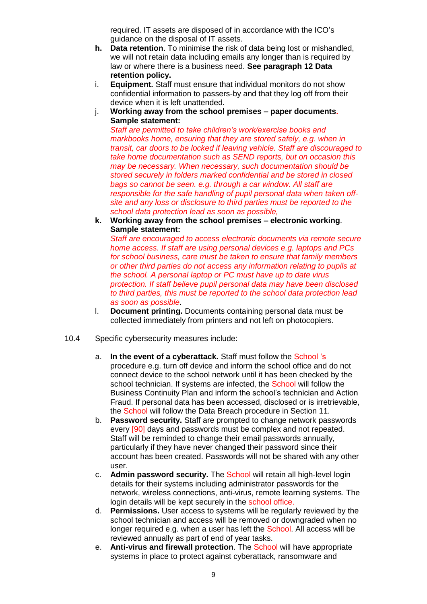required. IT assets are disposed of in accordance with the ICO's guidance on the disposal of IT assets.

- **h. Data retention**. To minimise the risk of data being lost or mishandled, we will not retain data including emails any longer than is required by law or where there is a business need. **See paragraph 12 Data retention policy.**
- i. **Equipment.** Staff must ensure that individual monitors do not show confidential information to passers-by and that they log off from their device when it is left unattended.
- j. **Working away from the school premises – paper documents. Sample statement:**

*Staff are permitted to take children's work/exercise books and*  markbooks home, ensuring that they are stored safely, e.g. when in *transit, car doors to be locked if leaving vehicle. Staff are discouraged to take home documentation such as SEND reports, but on occasion this may be necessary. When necessary, such documentation should be stored securely in folders marked confidential and be stored in closed bags so cannot be seen. e.g. through a car window. All staff are responsible for the safe handling of pupil personal data when taken offsite and any loss or disclosure to third parties must be reported to the school data protection lead as soon as possible,*

**k. Working away from the school premises – electronic working**. **Sample statement:**

*Staff are encouraged to access electronic documents via remote secure home access. If staff are using personal devices e.g. laptops and PCs for school business, care must be taken to ensure that family members or other third parties do not access any information relating to pupils at the school. A personal laptop or PC must have up to date virus protection. If staff believe pupil personal data may have been disclosed to third parties, this must be reported to the school data protection lead as soon as possible*.

- l. **Document printing.** Documents containing personal data must be collected immediately from printers and not left on photocopiers.
- 10.4 Specific cybersecurity measures include:
	- a. **In the event of a cyberattack.** Staff must follow the School 's procedure e.g. turn off device and inform the school office and do not connect device to the school network until it has been checked by the school technician. If systems are infected, the School will follow the Business Continuity Plan and inform the school's technician and Action Fraud. If personal data has been accessed, disclosed or is irretrievable, the School will follow the Data Breach procedure in Section 11.
	- b. **Password security.** Staff are prompted to change network passwords every [90] days and passwords must be complex and not repeated. Staff will be reminded to change their email passwords annually, particularly if they have never changed their password since their account has been created. Passwords will not be shared with any other user.
	- c. **Admin password security.** The School will retain all high-level login details for their systems including administrator passwords for the network, wireless connections, anti-virus, remote learning systems. The login details will be kept securely in the school office.
	- d. **Permissions.** User access to systems will be regularly reviewed by the school technician and access will be removed or downgraded when no longer required e.g. when a user has left the **School**. All access will be reviewed annually as part of end of year tasks.
	- e. **Anti-virus and firewall protection**. The School will have appropriate systems in place to protect against cyberattack, ransomware and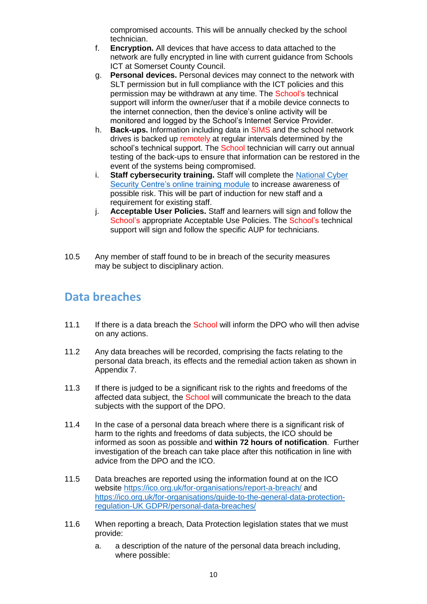compromised accounts. This will be annually checked by the school technician.

- f. **Encryption.** All devices that have access to data attached to the network are fully encrypted in line with current guidance from Schools ICT at Somerset County Council.
- g. **Personal devices.** Personal devices may connect to the network with SLT permission but in full compliance with the ICT policies and this permission may be withdrawn at any time. The School's technical support will inform the owner/user that if a mobile device connects to the internet connection, then the device's online activity will be monitored and logged by the School's Internet Service Provider.
- h. **Back-ups.** Information including data in SIMS and the school network drives is backed up remotely at regular intervals determined by the school's technical support. The School technician will carry out annual testing of the back-ups to ensure that information can be restored in the event of the systems being compromised.
- i. **Staff cybersecurity training.** Staff will complete the [National Cyber](https://www.ncsc.gov.uk/training/StaySafeOnline_web/index.html#/menu/5f215cc1006d2436a3b6c5e2)  [Security Centre's online training module](https://www.ncsc.gov.uk/training/StaySafeOnline_web/index.html#/menu/5f215cc1006d2436a3b6c5e2) to increase awareness of possible risk. This will be part of induction for new staff and a requirement for existing staff.
- j. **Acceptable User Policies.** Staff and learners will sign and follow the School's appropriate Acceptable Use Policies. The School's technical support will sign and follow the specific AUP for technicians.
- 10.5 Any member of staff found to be in breach of the security measures may be subject to disciplinary action.

## <span id="page-9-0"></span>**Data breaches**

- 11.1 If there is a data breach the School will inform the DPO who will then advise on any actions.
- 11.2 Any data breaches will be recorded, comprising the facts relating to the personal data breach, its effects and the remedial action taken as shown in Appendix 7.
- 11.3 If there is judged to be a significant risk to the rights and freedoms of the affected data subject, the School will communicate the breach to the data subjects with the support of the DPO.
- 11.4 In the case of a personal data breach where there is a significant risk of harm to the rights and freedoms of data subjects, the ICO should be informed as soon as possible and **within 72 hours of notification**. Further investigation of the breach can take place after this notification in line with advice from the DPO and the ICO.
- 11.5 Data breaches are reported using the information found at on the ICO website <https://ico.org.uk/for-organisations/report-a-breach/> and [https://ico.org.uk/for-organisations/guide-to-the-general-data-protection](https://ico.org.uk/for-organisations/guide-to-the-general-data-protection-regulation-gdpr/personal-data-breaches/)[regulation-UK GDPR/personal-data-breaches/](https://ico.org.uk/for-organisations/guide-to-the-general-data-protection-regulation-gdpr/personal-data-breaches/)
- 11.6 When reporting a breach, Data Protection legislation states that we must provide:
	- a. a description of the nature of the personal data breach including, where possible: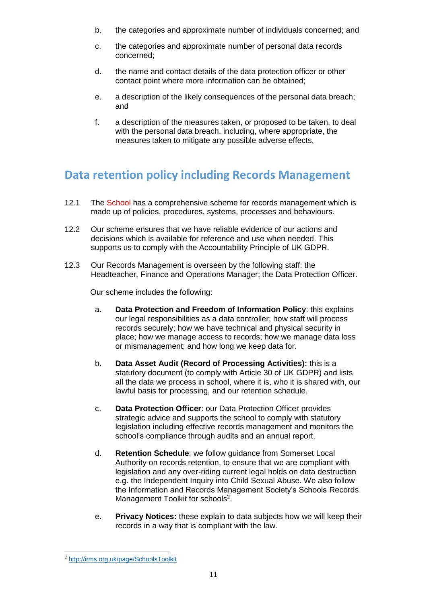- b. the categories and approximate number of individuals concerned; and
- c. the categories and approximate number of personal data records concerned;
- d. the name and contact details of the data protection officer or other contact point where more information can be obtained;
- e. a description of the likely consequences of the personal data breach; and
- f. a description of the measures taken, or proposed to be taken, to deal with the personal data breach, including, where appropriate, the measures taken to mitigate any possible adverse effects.

## <span id="page-10-0"></span>**Data retention policy including Records Management**

- 12.1 The School has a comprehensive scheme for records management which is made up of policies, procedures, systems, processes and behaviours.
- 12.2 Our scheme ensures that we have reliable evidence of our actions and decisions which is available for reference and use when needed. This supports us to comply with the Accountability Principle of UK GDPR.
- 12.3 Our Records Management is overseen by the following staff: the Headteacher, Finance and Operations Manager; the Data Protection Officer.

Our scheme includes the following:

- a. **Data Protection and Freedom of Information Policy**: this explains our legal responsibilities as a data controller; how staff will process records securely; how we have technical and physical security in place; how we manage access to records; how we manage data loss or mismanagement; and how long we keep data for.
- b. **Data Asset Audit (Record of Processing Activities):** this is a statutory document (to comply with Article 30 of UK GDPR) and lists all the data we process in school, where it is, who it is shared with, our lawful basis for processing, and our retention schedule.
- c. **Data Protection Officer**: our Data Protection Officer provides strategic advice and supports the school to comply with statutory legislation including effective records management and monitors the school's compliance through audits and an annual report.
- d. **Retention Schedule**: we follow guidance from Somerset Local Authority on records retention, to ensure that we are compliant with legislation and any over-riding current legal holds on data destruction e.g. the Independent Inquiry into Child Sexual Abuse. We also follow the Information and Records Management Society's Schools Records Management Toolkit for schools<sup>2</sup>.
- e. **Privacy Notices:** these explain to data subjects how we will keep their records in a way that is compliant with the law.

-

<sup>2</sup> <http://irms.org.uk/page/SchoolsToolkit>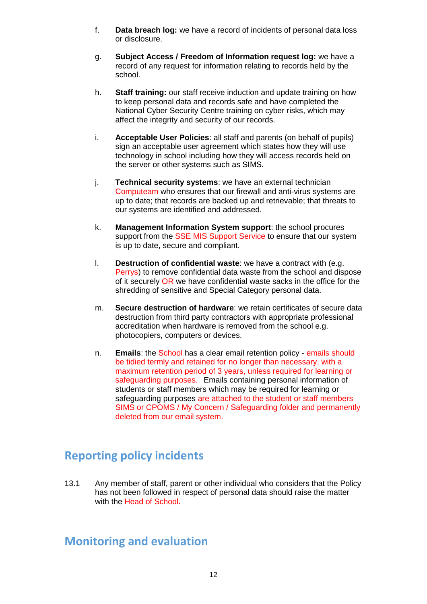- f. **Data breach log:** we have a record of incidents of personal data loss or disclosure.
- g. **Subject Access / Freedom of Information request log:** we have a record of any request for information relating to records held by the school.
- h. **Staff training:** our staff receive induction and update training on how to keep personal data and records safe and have completed the National Cyber Security Centre training on cyber risks, which may affect the integrity and security of our records.
- i. **Acceptable User Policies**: all staff and parents (on behalf of pupils) sign an acceptable user agreement which states how they will use technology in school including how they will access records held on the server or other systems such as SIMS.
- j. **Technical security systems**: we have an external technician Computeam who ensures that our firewall and anti-virus systems are up to date; that records are backed up and retrievable; that threats to our systems are identified and addressed.
- k. **Management Information System support**: the school procures support from the SSE MIS Support Service to ensure that our system is up to date, secure and compliant.
- l. **Destruction of confidential waste**: we have a contract with (e.g. Perrys) to remove confidential data waste from the school and dispose of it securely OR we have confidential waste sacks in the office for the shredding of sensitive and Special Category personal data.
- m. **Secure destruction of hardware**: we retain certificates of secure data destruction from third party contractors with appropriate professional accreditation when hardware is removed from the school e.g. photocopiers, computers or devices.
- n. **Emails**: the School has a clear email retention policy emails should be tidied termly and retained for no longer than necessary, with a maximum retention period of 3 years, unless required for learning or safeguarding purposes. Emails containing personal information of students or staff members which may be required for learning or safeguarding purposes are attached to the student or staff members SIMS or CPOMS / My Concern / Safeguarding folder and permanently deleted from our email system.

## <span id="page-11-0"></span>**Reporting policy incidents**

13.1 Any member of staff, parent or other individual who considers that the Policy has not been followed in respect of personal data should raise the matter with the Head of School.

## <span id="page-11-1"></span>**Monitoring and evaluation**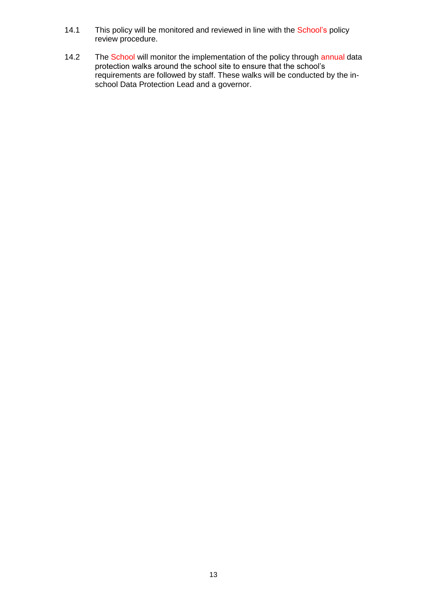- 14.1 This policy will be monitored and reviewed in line with the School's policy review procedure.
- <span id="page-12-0"></span>14.2 The School will monitor the implementation of the policy through annual data protection walks around the school site to ensure that the school's requirements are followed by staff. These walks will be conducted by the inschool Data Protection Lead and a governor.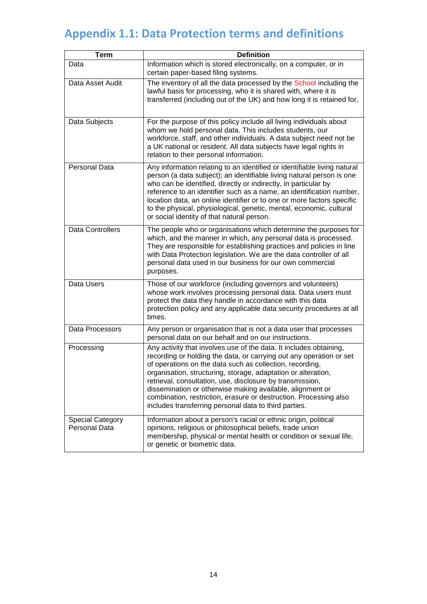# **Appendix 1.1: Data Protection terms and definitions**

| <b>Term</b>                                     | <b>Definition</b>                                                                                                                                                                                                                                                                                                                                                                                                                                                                                                              |  |  |  |  |
|-------------------------------------------------|--------------------------------------------------------------------------------------------------------------------------------------------------------------------------------------------------------------------------------------------------------------------------------------------------------------------------------------------------------------------------------------------------------------------------------------------------------------------------------------------------------------------------------|--|--|--|--|
| Data                                            | Information which is stored electronically, on a computer, or in<br>certain paper-based filing systems.                                                                                                                                                                                                                                                                                                                                                                                                                        |  |  |  |  |
| Data Asset Audit                                | The inventory of all the data processed by the School including the<br>lawful basis for processing, who it is shared with, where it is<br>transferred (including out of the UK) and how long it is retained for,                                                                                                                                                                                                                                                                                                               |  |  |  |  |
| Data Subjects                                   | For the purpose of this policy include all living individuals about<br>whom we hold personal data. This includes students, our<br>workforce, staff, and other individuals. A data subject need not be<br>a UK national or resident. All data subjects have legal rights in<br>relation to their personal information.                                                                                                                                                                                                          |  |  |  |  |
| Personal Data                                   | Any information relating to an identified or identifiable living natural<br>person (a data subject); an identifiable living natural person is one<br>who can be identified, directly or indirectly, in particular by<br>reference to an identifier such as a name, an identification number,<br>location data, an online identifier or to one or more factors specific<br>to the physical, physiological, genetic, mental, economic, cultural<br>or social identity of that natural person.                                    |  |  |  |  |
| <b>Data Controllers</b>                         | The people who or organisations which determine the purposes for<br>which, and the manner in which, any personal data is processed.<br>They are responsible for establishing practices and policies in line<br>with Data Protection legislation. We are the data controller of all<br>personal data used in our business for our own commercial<br>purposes.                                                                                                                                                                   |  |  |  |  |
| Data Users                                      | Those of our workforce (including governors and volunteers)<br>whose work involves processing personal data. Data users must<br>protect the data they handle in accordance with this data<br>protection policy and any applicable data security procedures at all<br>times.                                                                                                                                                                                                                                                    |  |  |  |  |
| Data Processors                                 | Any person or organisation that is not a data user that processes<br>personal data on our behalf and on our instructions.                                                                                                                                                                                                                                                                                                                                                                                                      |  |  |  |  |
| Processing                                      | Any activity that involves use of the data. It includes obtaining,<br>recording or holding the data, or carrying out any operation or set<br>of operations on the data such as collection, recording,<br>organisation, structuring, storage, adaptation or alteration,<br>retrieval, consultation, use, disclosure by transmission,<br>dissemination or otherwise making available, alignment or<br>combination, restriction, erasure or destruction. Processing also<br>includes transferring personal data to third parties. |  |  |  |  |
| <b>Special Category</b><br><b>Personal Data</b> | Information about a person's racial or ethnic origin, political<br>opinions, religious or philosophical beliefs, trade union<br>membership, physical or mental health or condition or sexual life,<br>or genetic or biometric data.                                                                                                                                                                                                                                                                                            |  |  |  |  |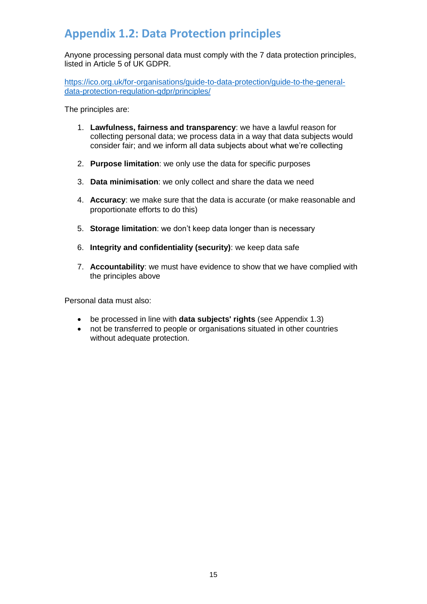# <span id="page-14-0"></span>**Appendix 1.2: Data Protection principles**

Anyone processing personal data must comply with the 7 data protection principles, listed in Article 5 of UK GDPR.

[https://ico.org.uk/for-organisations/guide-to-data-protection/guide-to-the-general](https://ico.org.uk/for-organisations/guide-to-data-protection/guide-to-the-general-data-protection-regulation-gdpr/principles/)[data-protection-regulation-gdpr/principles/](https://ico.org.uk/for-organisations/guide-to-data-protection/guide-to-the-general-data-protection-regulation-gdpr/principles/)

The principles are:

- 1. **Lawfulness, fairness and transparency**: we have a lawful reason for collecting personal data; we process data in a way that data subjects would consider fair; and we inform all data subjects about what we're collecting
- 2. **Purpose limitation**: we only use the data for specific purposes
- 3. **Data minimisation**: we only collect and share the data we need
- 4. **Accuracy**: we make sure that the data is accurate (or make reasonable and proportionate efforts to do this)
- 5. **Storage limitation**: we don't keep data longer than is necessary
- 6. **Integrity and confidentiality (security)**: we keep data safe
- 7. **Accountability**: we must have evidence to show that we have complied with the principles above

Personal data must also:

- be processed in line with **data subjects' rights** (see Appendix 1.3)
- not be transferred to people or organisations situated in other countries without adequate protection.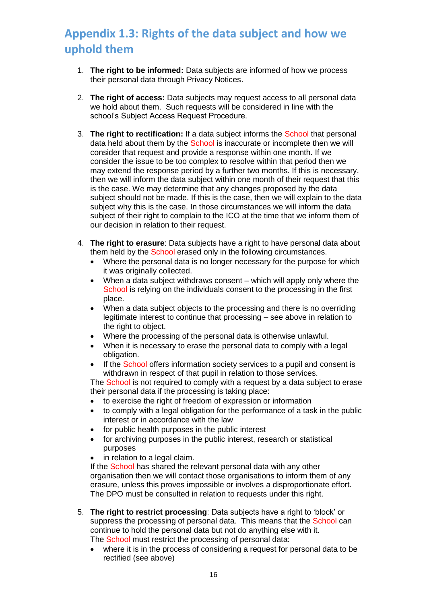# <span id="page-15-0"></span>**Appendix 1.3: Rights of the data subject and how we uphold them**

- 1. **The right to be informed:** Data subjects are informed of how we process their personal data through Privacy Notices.
- 2. **The right of access:** Data subjects may request access to all personal data we hold about them. Such requests will be considered in line with the school's Subject Access Request Procedure.
- 3. **The right to rectification:** If a data subject informs the School that personal data held about them by the **School** is inaccurate or incomplete then we will consider that request and provide a response within one month. If we consider the issue to be too complex to resolve within that period then we may extend the response period by a further two months. If this is necessary, then we will inform the data subject within one month of their request that this is the case. We may determine that any changes proposed by the data subject should not be made. If this is the case, then we will explain to the data subject why this is the case. In those circumstances we will inform the data subject of their right to complain to the ICO at the time that we inform them of our decision in relation to their request.
- 4. **The right to erasure**: Data subjects have a right to have personal data about them held by the School erased only in the following circumstances.
	- Where the personal data is no longer necessary for the purpose for which it was originally collected.
	- When a data subject withdraws consent which will apply only where the School is relying on the individuals consent to the processing in the first place.
	- When a data subject objects to the processing and there is no overriding legitimate interest to continue that processing – see above in relation to the right to object.
	- Where the processing of the personal data is otherwise unlawful.
	- When it is necessary to erase the personal data to comply with a legal obligation.
	- If the School offers information society services to a pupil and consent is withdrawn in respect of that pupil in relation to those services.

The School is not required to comply with a request by a data subject to erase their personal data if the processing is taking place:

- to exercise the right of freedom of expression or information
- to comply with a legal obligation for the performance of a task in the public interest or in accordance with the law
- for public health purposes in the public interest
- for archiving purposes in the public interest, research or statistical purposes
- in relation to a legal claim.

If the School has shared the relevant personal data with any other organisation then we will contact those organisations to inform them of any erasure, unless this proves impossible or involves a disproportionate effort. The DPO must be consulted in relation to requests under this right.

- 5. **The right to restrict processing**: Data subjects have a right to 'block' or suppress the processing of personal data. This means that the School can continue to hold the personal data but not do anything else with it. The School must restrict the processing of personal data:
	- where it is in the process of considering a request for personal data to be rectified (see above)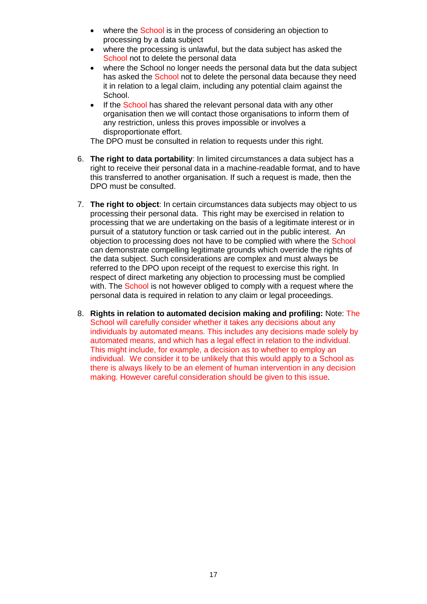- where the School is in the process of considering an objection to processing by a data subject
- where the processing is unlawful, but the data subject has asked the School not to delete the personal data
- where the School no longer needs the personal data but the data subject has asked the School not to delete the personal data because they need it in relation to a legal claim, including any potential claim against the School.
- If the School has shared the relevant personal data with any other organisation then we will contact those organisations to inform them of any restriction, unless this proves impossible or involves a disproportionate effort.

The DPO must be consulted in relation to requests under this right.

- 6. **The right to data portability**: In limited circumstances a data subject has a right to receive their personal data in a machine-readable format, and to have this transferred to another organisation. If such a request is made, then the DPO must be consulted.
- 7. **The right to object**: In certain circumstances data subjects may object to us processing their personal data. This right may be exercised in relation to processing that we are undertaking on the basis of a legitimate interest or in pursuit of a statutory function or task carried out in the public interest. An objection to processing does not have to be complied with where the School can demonstrate compelling legitimate grounds which override the rights of the data subject. Such considerations are complex and must always be referred to the DPO upon receipt of the request to exercise this right. In respect of direct marketing any objection to processing must be complied with. The School is not however obliged to comply with a request where the personal data is required in relation to any claim or legal proceedings.
- 8. **Rights in relation to automated decision making and profiling:** Note: The School will carefully consider whether it takes any decisions about any individuals by automated means. This includes any decisions made solely by automated means, and which has a legal effect in relation to the individual. This might include, for example, a decision as to whether to employ an individual. We consider it to be unlikely that this would apply to a School as there is always likely to be an element of human intervention in any decision making. However careful consideration should be given to this issue.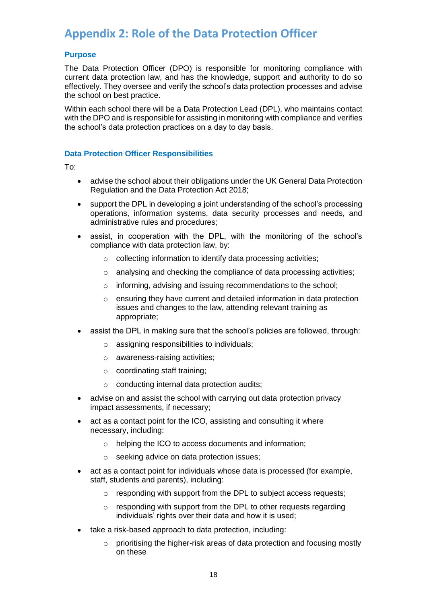## <span id="page-17-0"></span>**Appendix 2: Role of the Data Protection Officer**

### **Purpose**

The Data Protection Officer (DPO) is responsible for monitoring compliance with current data protection law, and has the knowledge, support and authority to do so effectively. They oversee and verify the school's data protection processes and advise the school on best practice.

Within each school there will be a Data Protection Lead (DPL), who maintains contact with the DPO and is responsible for assisting in monitoring with compliance and verifies the school's data protection practices on a day to day basis.

### **Data Protection Officer Responsibilities**

To:

- advise the school about their obligations under the UK General Data Protection Regulation and the Data Protection Act 2018;
- support the DPL in developing a joint understanding of the school's processing operations, information systems, data security processes and needs, and administrative rules and procedures;
- assist, in cooperation with the DPL, with the monitoring of the school's compliance with data protection law, by:
	- o collecting information to identify data processing activities;
	- o analysing and checking the compliance of data processing activities;
	- o informing, advising and issuing recommendations to the school;
	- o ensuring they have current and detailed information in data protection issues and changes to the law, attending relevant training as appropriate;
- assist the DPL in making sure that the school's policies are followed, through:
	- o assigning responsibilities to individuals;
	- o awareness-raising activities;
	- o coordinating staff training;
	- $\circ$  conducting internal data protection audits:
- advise on and assist the school with carrying out data protection privacy impact assessments, if necessary;
- act as a contact point for the ICO, assisting and consulting it where necessary, including:
	- o helping the ICO to access documents and information;
	- o seeking advice on data protection issues;
- act as a contact point for individuals whose data is processed (for example, staff, students and parents), including:
	- o responding with support from the DPL to subject access requests;
	- o responding with support from the DPL to other requests regarding individuals' rights over their data and how it is used;
- take a risk-based approach to data protection, including:
	- $\circ$  prioritising the higher-risk areas of data protection and focusing mostly on these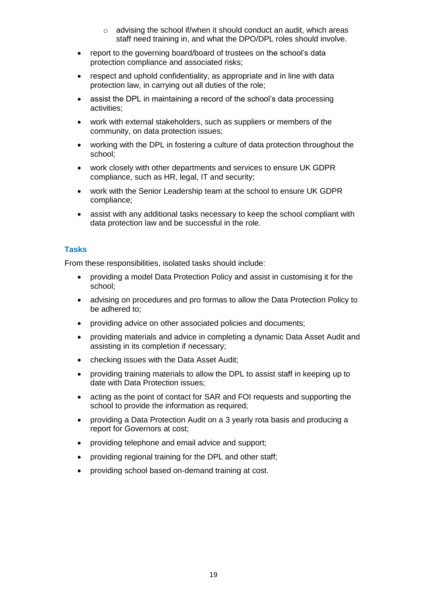- o advising the school if/when it should conduct an audit, which areas staff need training in, and what the DPO/DPL roles should involve.
- report to the governing board/board of trustees on the school's data protection compliance and associated risks;
- respect and uphold confidentiality, as appropriate and in line with data protection law, in carrying out all duties of the role;
- assist the DPL in maintaining a record of the school's data processing activities;
- work with external stakeholders, such as suppliers or members of the community, on data protection issues;
- working with the DPL in fostering a culture of data protection throughout the school;
- work closely with other departments and services to ensure UK GDPR compliance, such as HR, legal, IT and security;
- work with the Senior Leadership team at the school to ensure UK GDPR compliance;
- assist with any additional tasks necessary to keep the school compliant with data protection law and be successful in the role.

### **Tasks**

From these responsibilities, isolated tasks should include:

- providing a model Data Protection Policy and assist in customising it for the school;
- advising on procedures and pro formas to allow the Data Protection Policy to be adhered to;
- providing advice on other associated policies and documents;
- providing materials and advice in completing a dynamic Data Asset Audit and assisting in its completion if necessary;
- checking issues with the Data Asset Audit;
- providing training materials to allow the DPL to assist staff in keeping up to date with Data Protection issues;
- acting as the point of contact for SAR and FOI requests and supporting the school to provide the information as required;
- providing a Data Protection Audit on a 3 yearly rota basis and producing a report for Governors at cost;
- providing telephone and email advice and support;
- providing regional training for the DPL and other staff;
- providing school based on-demand training at cost.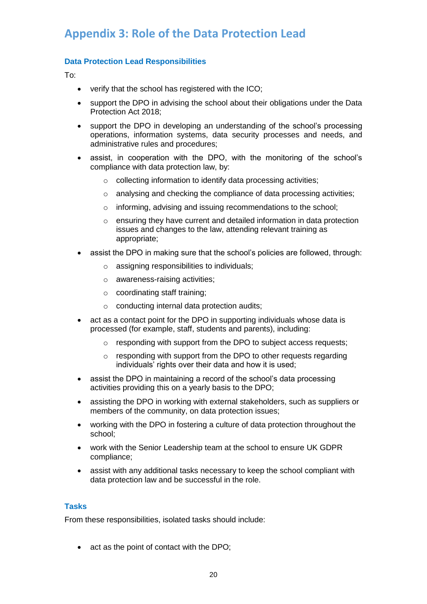# <span id="page-19-0"></span>**Appendix 3: Role of the Data Protection Lead**

### **Data Protection Lead Responsibilities**

To:

- verify that the school has registered with the ICO;
- support the DPO in advising the school about their obligations under the Data Protection Act 2018;
- support the DPO in developing an understanding of the school's processing operations, information systems, data security processes and needs, and administrative rules and procedures;
- assist, in cooperation with the DPO, with the monitoring of the school's compliance with data protection law, by:
	- o collecting information to identify data processing activities;
	- o analysing and checking the compliance of data processing activities;
	- o informing, advising and issuing recommendations to the school;
	- o ensuring they have current and detailed information in data protection issues and changes to the law, attending relevant training as appropriate;
- assist the DPO in making sure that the school's policies are followed, through:
	- o assigning responsibilities to individuals;
	- o awareness-raising activities;
	- o coordinating staff training;
	- o conducting internal data protection audits;
- act as a contact point for the DPO in supporting individuals whose data is processed (for example, staff, students and parents), including:
	- o responding with support from the DPO to subject access requests;
	- $\circ$  responding with support from the DPO to other requests regarding individuals' rights over their data and how it is used;
- assist the DPO in maintaining a record of the school's data processing activities providing this on a yearly basis to the DPO;
- assisting the DPO in working with external stakeholders, such as suppliers or members of the community, on data protection issues;
- working with the DPO in fostering a culture of data protection throughout the school;
- work with the Senior Leadership team at the school to ensure UK GDPR compliance;
- assist with any additional tasks necessary to keep the school compliant with data protection law and be successful in the role.

### **Tasks**

From these responsibilities, isolated tasks should include:

• act as the point of contact with the DPO;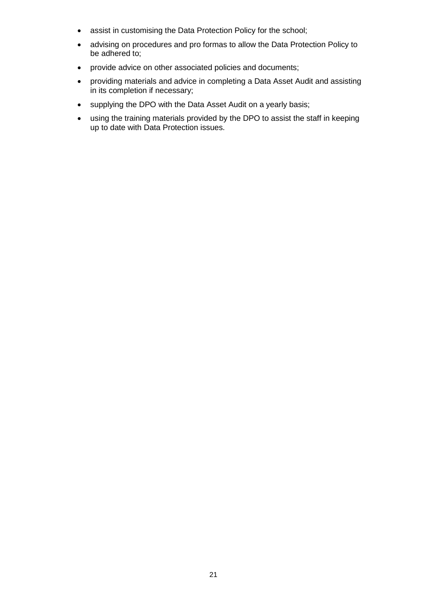- assist in customising the Data Protection Policy for the school;
- advising on procedures and pro formas to allow the Data Protection Policy to be adhered to;
- provide advice on other associated policies and documents;
- providing materials and advice in completing a Data Asset Audit and assisting in its completion if necessary;
- supplying the DPO with the Data Asset Audit on a yearly basis;
- using the training materials provided by the DPO to assist the staff in keeping up to date with Data Protection issues.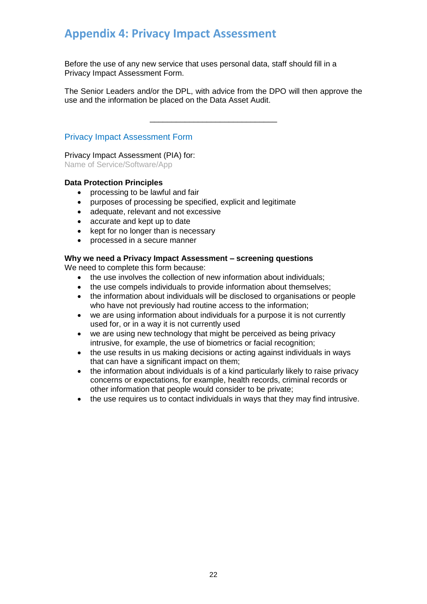## <span id="page-21-0"></span>**Appendix 4: Privacy Impact Assessment**

Before the use of any new service that uses personal data, staff should fill in a Privacy Impact Assessment Form.

The Senior Leaders and/or the DPL, with advice from the DPO will then approve the use and the information be placed on the Data Asset Audit.

\_\_\_\_\_\_\_\_\_\_\_\_\_\_\_\_\_\_\_\_\_\_\_\_\_\_\_\_\_

### Privacy Impact Assessment Form

Privacy Impact Assessment (PIA) for: Name of Service/Software/App

### **Data Protection Principles**

- processing to be lawful and fair
- purposes of processing be specified, explicit and legitimate
- adequate, relevant and not excessive
- accurate and kept up to date
- kept for no longer than is necessary
- processed in a secure manner

### **Why we need a Privacy Impact Assessment – screening questions**

We need to complete this form because:

- the use involves the collection of new information about individuals;
- the use compels individuals to provide information about themselves;
- the information about individuals will be disclosed to organisations or people who have not previously had routine access to the information;
- we are using information about individuals for a purpose it is not currently used for, or in a way it is not currently used
- we are using new technology that might be perceived as being privacy intrusive, for example, the use of biometrics or facial recognition;
- the use results in us making decisions or acting against individuals in ways that can have a significant impact on them;
- the information about individuals is of a kind particularly likely to raise privacy concerns or expectations, for example, health records, criminal records or other information that people would consider to be private;
- the use requires us to contact individuals in ways that they may find intrusive.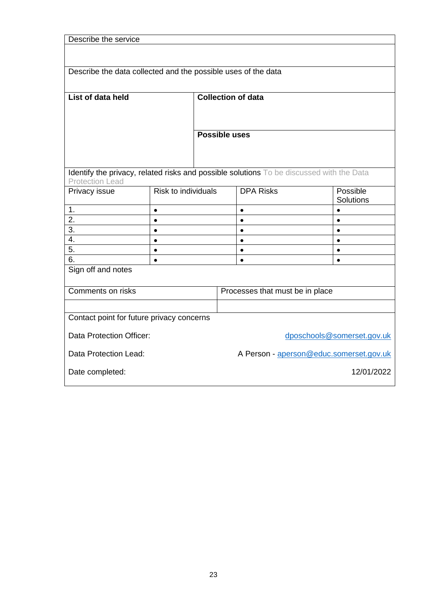| Describe the service                                                                     |                            |                           |                                         |                  |  |                  |  |
|------------------------------------------------------------------------------------------|----------------------------|---------------------------|-----------------------------------------|------------------|--|------------------|--|
|                                                                                          |                            |                           |                                         |                  |  |                  |  |
|                                                                                          |                            |                           |                                         |                  |  |                  |  |
| Describe the data collected and the possible uses of the data                            |                            |                           |                                         |                  |  |                  |  |
|                                                                                          |                            |                           |                                         |                  |  |                  |  |
| List of data held                                                                        |                            | <b>Collection of data</b> |                                         |                  |  |                  |  |
|                                                                                          |                            |                           |                                         |                  |  |                  |  |
|                                                                                          |                            |                           |                                         |                  |  |                  |  |
|                                                                                          |                            |                           |                                         |                  |  |                  |  |
|                                                                                          |                            | <b>Possible uses</b>      |                                         |                  |  |                  |  |
|                                                                                          |                            |                           |                                         |                  |  |                  |  |
|                                                                                          |                            |                           |                                         |                  |  |                  |  |
| Identify the privacy, related risks and possible solutions To be discussed with the Data |                            |                           |                                         |                  |  |                  |  |
| <b>Protection Lead</b><br>Privacy issue                                                  | <b>Risk to individuals</b> |                           |                                         | <b>DPA Risks</b> |  | Possible         |  |
|                                                                                          |                            |                           |                                         |                  |  | <b>Solutions</b> |  |
| 1.                                                                                       | $\bullet$                  |                           |                                         | $\bullet$        |  | $\bullet$        |  |
| 2.                                                                                       | $\bullet$                  |                           |                                         | $\bullet$        |  | $\bullet$        |  |
| 3.                                                                                       | $\bullet$                  |                           |                                         | $\bullet$        |  | $\bullet$        |  |
| 4.                                                                                       | $\bullet$                  |                           |                                         | $\bullet$        |  | $\bullet$        |  |
| 5.                                                                                       | $\bullet$                  |                           |                                         | $\bullet$        |  | $\bullet$        |  |
| 6.                                                                                       | $\bullet$                  |                           |                                         | $\bullet$        |  | $\bullet$        |  |
| Sign off and notes                                                                       |                            |                           |                                         |                  |  |                  |  |
|                                                                                          |                            |                           |                                         |                  |  |                  |  |
| Comments on risks                                                                        |                            |                           | Processes that must be in place         |                  |  |                  |  |
|                                                                                          |                            |                           |                                         |                  |  |                  |  |
| Contact point for future privacy concerns                                                |                            |                           |                                         |                  |  |                  |  |
|                                                                                          |                            |                           |                                         |                  |  |                  |  |
| Data Protection Officer:                                                                 |                            |                           | dposchools@somerset.gov.uk              |                  |  |                  |  |
| Data Protection Lead:                                                                    |                            |                           | A Person - aperson@educ.somerset.gov.uk |                  |  |                  |  |
| Date completed:                                                                          |                            |                           | 12/01/2022                              |                  |  |                  |  |
|                                                                                          |                            |                           |                                         |                  |  |                  |  |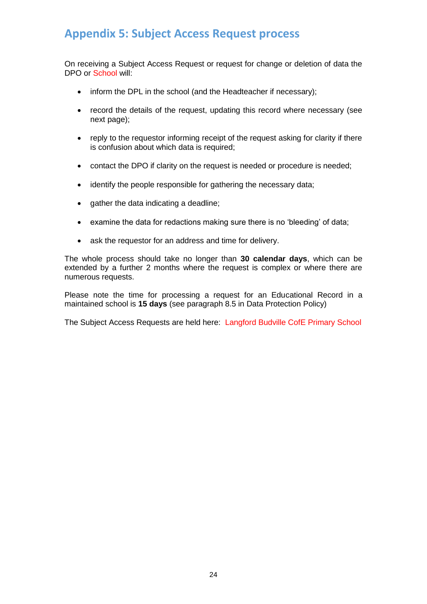## <span id="page-23-0"></span>**Appendix 5: Subject Access Request process**

On receiving a Subject Access Request or request for change or deletion of data the DPO or School will:

- inform the DPL in the school (and the Headteacher if necessary);
- record the details of the request, updating this record where necessary (see next page);
- reply to the requestor informing receipt of the request asking for clarity if there is confusion about which data is required;
- contact the DPO if clarity on the request is needed or procedure is needed;
- identify the people responsible for gathering the necessary data;
- gather the data indicating a deadline;
- examine the data for redactions making sure there is no 'bleeding' of data;
- ask the requestor for an address and time for delivery.

The whole process should take no longer than **30 calendar days**, which can be extended by a further 2 months where the request is complex or where there are numerous requests.

Please note the time for processing a request for an Educational Record in a maintained school is **15 days** (see paragraph 8.5 in Data Protection Policy)

The Subject Access Requests are held here: Langford Budville CofE Primary School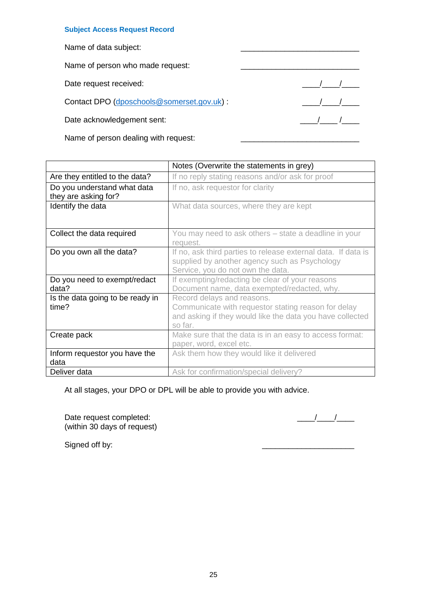#### **Subject Access Request Record**

Name of data subject:

Name of person who made request:

Date request received: \_\_\_\_/\_\_\_\_/\_\_\_\_

Contact DPO [\(dposchools@somerset.gov.uk\)](mailto:dposchools@somerset.gov.uk) : \_\_\_\_/\_\_\_\_/\_\_\_\_

Date acknowledgement sent: \_\_\_\_/\_\_\_\_ /\_\_\_\_

Name of person dealing with request:

|                                                     | Notes (Overwrite the statements in grey)                                                                                                                  |  |  |  |
|-----------------------------------------------------|-----------------------------------------------------------------------------------------------------------------------------------------------------------|--|--|--|
| Are they entitled to the data?                      | If no reply stating reasons and/or ask for proof                                                                                                          |  |  |  |
| Do you understand what data<br>they are asking for? | If no, ask requestor for clarity                                                                                                                          |  |  |  |
| Identify the data                                   | What data sources, where they are kept                                                                                                                    |  |  |  |
| Collect the data required                           | You may need to ask others – state a deadline in your<br>request.                                                                                         |  |  |  |
| Do you own all the data?                            | If no, ask third parties to release external data. If data is<br>supplied by another agency such as Psychology<br>Service, you do not own the data.       |  |  |  |
| Do you need to exempt/redact<br>data?               | If exempting/redacting be clear of your reasons<br>Document name, data exempted/redacted, why.                                                            |  |  |  |
| Is the data going to be ready in<br>time?           | Record delays and reasons.<br>Communicate with requestor stating reason for delay<br>and asking if they would like the data you have collected<br>so far. |  |  |  |
| Create pack                                         | Make sure that the data is in an easy to access format:<br>paper, word, excel etc.                                                                        |  |  |  |
| Inform requestor you have the<br>data               | Ask them how they would like it delivered                                                                                                                 |  |  |  |
| Deliver data                                        | Ask for confirmation/special delivery?                                                                                                                    |  |  |  |

At all stages, your DPO or DPL will be able to provide you with advice.

Date request completed: \_\_\_\_/\_\_\_\_/\_\_\_\_ (within 30 days of request)

Signed off by: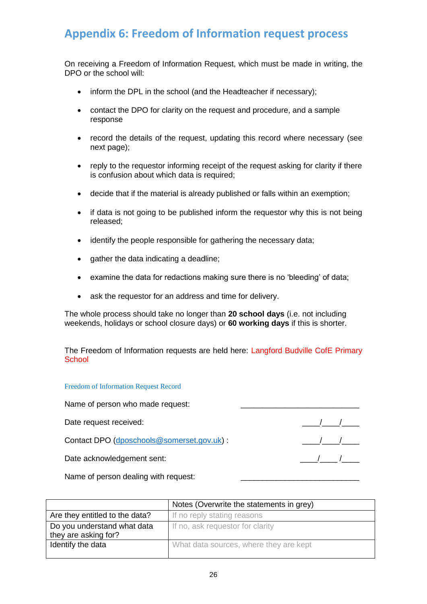# <span id="page-25-0"></span>**Appendix 6: Freedom of Information request process**

On receiving a Freedom of Information Request, which must be made in writing, the DPO or the school will:

- inform the DPL in the school (and the Headteacher if necessary);
- contact the DPO for clarity on the request and procedure, and a sample response
- record the details of the request, updating this record where necessary (see next page);
- reply to the requestor informing receipt of the request asking for clarity if there is confusion about which data is required;
- decide that if the material is already published or falls within an exemption;
- if data is not going to be published inform the requestor why this is not being released;
- identify the people responsible for gathering the necessary data;
- gather the data indicating a deadline;
- examine the data for redactions making sure there is no 'bleeding' of data;
- ask the requestor for an address and time for delivery.

The whole process should take no longer than **20 school days** (i.e. not including weekends, holidays or school closure days) or **60 working days** if this is shorter.

The Freedom of Information requests are held here: Langford Budville CofE Primary **School** 

Freedom of Information Request Record

Name of person who made request:

Date request received:  $\sqrt{2}$ 

Contact DPO [\(dposchools@somerset.gov.uk\)](mailto:dposchools@somerset.gov.uk) : \_\_\_\_/\_\_\_\_/\_\_\_\_

Date acknowledgement sent: \_\_\_\_/\_\_\_\_ /\_\_\_\_

Name of person dealing with request:

| Notes (Overwrite the statements in grey)            |                                        |  |  |
|-----------------------------------------------------|----------------------------------------|--|--|
| Are they entitled to the data?                      | If no reply stating reasons            |  |  |
| Do you understand what data<br>they are asking for? | If no, ask requestor for clarity       |  |  |
| Identify the data                                   | What data sources, where they are kept |  |  |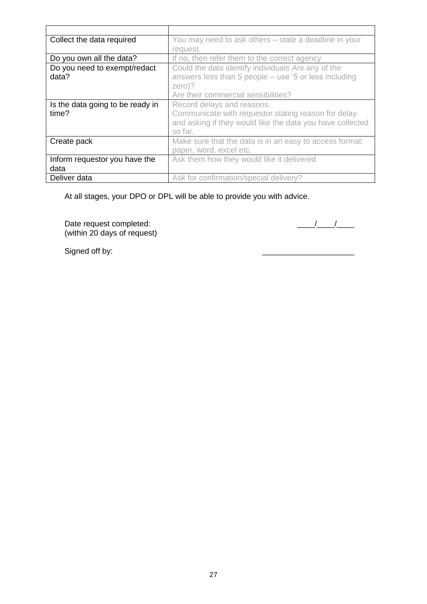| Collect the data required        | You may need to ask others – state a deadline in your     |  |  |  |
|----------------------------------|-----------------------------------------------------------|--|--|--|
|                                  | request.                                                  |  |  |  |
| Do you own all the data?         | If no, then refer them to the correct agency              |  |  |  |
| Do you need to exempt/redact     | Could the data identify individuals Are any of the        |  |  |  |
| data?                            | answers less than 5 people – use '5 or less including     |  |  |  |
|                                  | zero)?                                                    |  |  |  |
|                                  | Are their commercial sensibilities?                       |  |  |  |
| Is the data going to be ready in | Record delays and reasons.                                |  |  |  |
| time?                            | Communicate with requestor stating reason for delay       |  |  |  |
|                                  | and asking if they would like the data you have collected |  |  |  |
|                                  | so far.                                                   |  |  |  |
| Create pack                      | Make sure that the data is in an easy to access format:   |  |  |  |
|                                  | paper, word, excel etc.                                   |  |  |  |
| Inform requestor you have the    | Ask them how they would like it delivered                 |  |  |  |
| data                             |                                                           |  |  |  |
| Deliver data                     | Ask for confirmation/special delivery?                    |  |  |  |

At all stages, your DPO or DPL will be able to provide you with advice.

Date request completed: \_\_\_\_/\_\_\_\_/\_\_\_\_ (within 20 days of request)

Signed off by: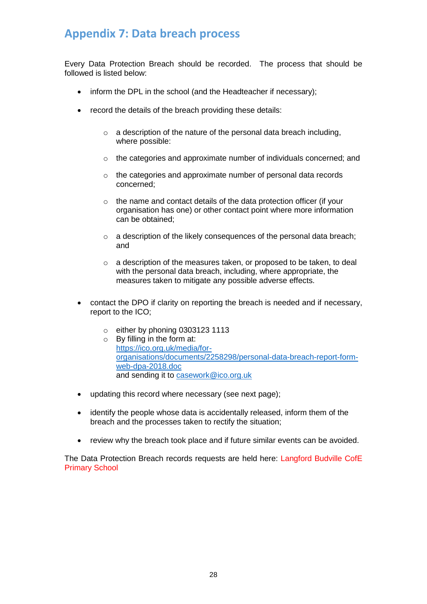## <span id="page-27-0"></span>**Appendix 7: Data breach process**

Every Data Protection Breach should be recorded. The process that should be followed is listed below:

- inform the DPL in the school (and the Headteacher if necessary);
- record the details of the breach providing these details:
	- $\circ$  a description of the nature of the personal data breach including, where possible:
	- o the categories and approximate number of individuals concerned; and
	- o the categories and approximate number of personal data records concerned;
	- o the name and contact details of the data protection officer (if your organisation has one) or other contact point where more information can be obtained;
	- o a description of the likely consequences of the personal data breach; and
	- o a description of the measures taken, or proposed to be taken, to deal with the personal data breach, including, where appropriate, the measures taken to mitigate any possible adverse effects.
- contact the DPO if clarity on reporting the breach is needed and if necessary, report to the ICO;
	- o either by phoning 0303123 1113
	- o By filling in the form at: [https://ico.org.uk/media/for](https://ico.org.uk/media/for-organisations/documents/2258298/personal-data-breach-report-form-web-dpa-2018.doc)[organisations/documents/2258298/personal-data-breach-report-form](https://ico.org.uk/media/for-organisations/documents/2258298/personal-data-breach-report-form-web-dpa-2018.doc)[web-dpa-2018.doc](https://ico.org.uk/media/for-organisations/documents/2258298/personal-data-breach-report-form-web-dpa-2018.doc) and sending it to [casework@ico.org.uk](mailto:casework@ico.org.uk)
- updating this record where necessary (see next page);
- identify the people whose data is accidentally released, inform them of the breach and the processes taken to rectify the situation;
- review why the breach took place and if future similar events can be avoided.

The Data Protection Breach records requests are held here: Langford Budville CofE Primary School